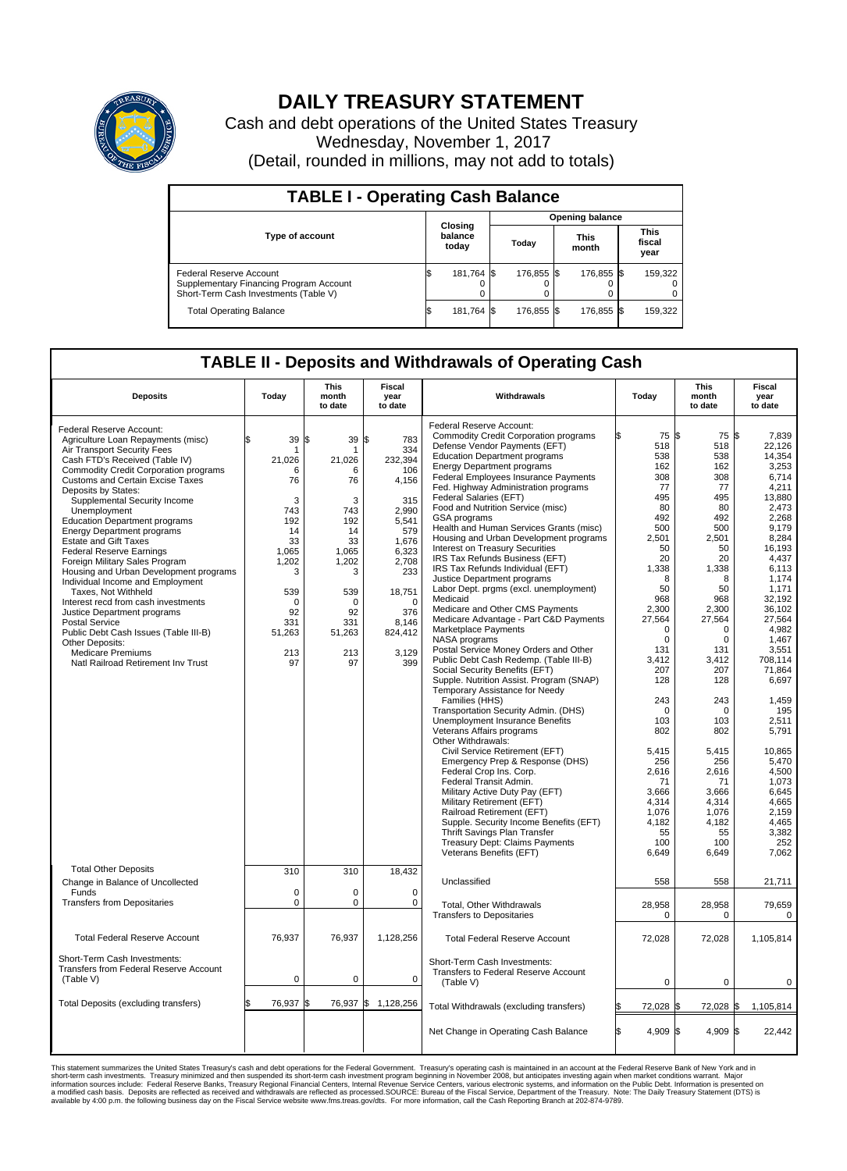

## **DAILY TREASURY STATEMENT**

Cash and debt operations of the United States Treasury Wednesday, November 1, 2017 (Detail, rounded in millions, may not add to totals)

| <b>TABLE I - Operating Cash Balance</b>                                                                     |    |                             |  |                        |  |                      |  |                               |  |  |  |
|-------------------------------------------------------------------------------------------------------------|----|-----------------------------|--|------------------------|--|----------------------|--|-------------------------------|--|--|--|
|                                                                                                             |    |                             |  | <b>Opening balance</b> |  |                      |  |                               |  |  |  |
| <b>Type of account</b>                                                                                      |    | Closing<br>balance<br>today |  | Today                  |  | <b>This</b><br>month |  | <b>This</b><br>fiscal<br>year |  |  |  |
| Federal Reserve Account<br>Supplementary Financing Program Account<br>Short-Term Cash Investments (Table V) |    | 181,764 \$                  |  | 176.855 \$             |  | 176.855 \$           |  | 159,322                       |  |  |  |
| <b>Total Operating Balance</b>                                                                              | ıа | 181,764 \$                  |  | 176.855 \$             |  | 176,855 \$           |  | 159,322                       |  |  |  |

## **TABLE II - Deposits and Withdrawals of Operating Cash**

| <b>Deposits</b>                              | Today       | <b>This</b><br>month<br>to date | <b>Fiscal</b><br>year<br>to date | Withdrawals                                  | Today           | <b>This</b><br>month<br>to date | <b>Fiscal</b><br>year<br>to date |  |
|----------------------------------------------|-------------|---------------------------------|----------------------------------|----------------------------------------------|-----------------|---------------------------------|----------------------------------|--|
|                                              |             |                                 |                                  | Federal Reserve Account:                     |                 |                                 |                                  |  |
| Federal Reserve Account:                     |             |                                 |                                  | <b>Commodity Credit Corporation programs</b> | 75 \$           | 75 \$                           | 7.839                            |  |
| Agriculture Loan Repayments (misc)           | 39<br>\$    | $39$ \$<br>\$                   | 783                              | Defense Vendor Payments (EFT)                | 518             | 518                             | 22,126                           |  |
| Air Transport Security Fees                  | 1           |                                 | 334                              |                                              |                 |                                 |                                  |  |
| Cash FTD's Received (Table IV)               | 21,026      | 21,026                          | 232,394                          | <b>Education Department programs</b>         | 538             | 538                             | 14.354                           |  |
| <b>Commodity Credit Corporation programs</b> | 6           | 6                               | 106                              | <b>Energy Department programs</b>            | 162             | 162                             | 3,253                            |  |
| Customs and Certain Excise Taxes             | 76          | 76                              | 4,156                            | <b>Federal Employees Insurance Payments</b>  | 308             | 308                             | 6.714                            |  |
| Deposits by States:                          |             |                                 |                                  | Fed. Highway Administration programs         | 77              | 77                              | 4,211                            |  |
| Supplemental Security Income                 | 3           | 3                               | 315                              | <b>Federal Salaries (EFT)</b>                | 495             | 495                             | 13.880                           |  |
| Unemployment                                 | 743         | 743                             | 2.990                            | Food and Nutrition Service (misc)            | 80              | 80                              | 2,473                            |  |
| <b>Education Department programs</b>         | 192         | 192                             | 5,541                            | <b>GSA</b> programs                          | 492             | 492                             | 2.268                            |  |
| <b>Energy Department programs</b>            | 14          | 14                              | 579                              | Health and Human Services Grants (misc)      | 500             | 500                             | 9,179                            |  |
| <b>Estate and Gift Taxes</b>                 | 33          | 33                              | 1,676                            | Housing and Urban Development programs       | 2.501           | 2.501                           | 8.284                            |  |
|                                              |             |                                 |                                  | <b>Interest on Treasury Securities</b>       | 50              | 50                              | 16,193                           |  |
| <b>Federal Reserve Earnings</b>              | 1.065       | 1.065                           | 6.323                            | IRS Tax Refunds Business (EFT)               | 20              | 20                              | 4,437                            |  |
| Foreign Military Sales Program               | 1,202       | 1,202                           | 2,708                            | IRS Tax Refunds Individual (EFT)             | 1,338           | 1,338                           | 6,113                            |  |
| Housing and Urban Development programs       | 3           | 3                               | 233                              | Justice Department programs                  | 8               | 8                               | 1,174                            |  |
| Individual Income and Employment             |             |                                 |                                  |                                              | 50              | 50                              | 1,171                            |  |
| Taxes, Not Withheld                          | 539         | 539                             | 18,751                           | Labor Dept. prgms (excl. unemployment)       |                 |                                 |                                  |  |
| Interest recd from cash investments          | $\Omega$    | $\Omega$                        | $\Omega$                         | Medicaid                                     | 968             | 968                             | 32,192                           |  |
| Justice Department programs                  | 92          | 92                              | 376                              | Medicare and Other CMS Payments              | 2,300           | 2.300                           | 36,102                           |  |
| <b>Postal Service</b>                        | 331         | 331                             | 8.146                            | Medicare Advantage - Part C&D Payments       | 27,564          | 27,564                          | 27,564                           |  |
| Public Debt Cash Issues (Table III-B)        | 51,263      | 51,263                          | 824,412                          | Marketplace Payments                         | $\Omega$        | $\Omega$                        | 4.982                            |  |
| Other Deposits:                              |             |                                 |                                  | NASA programs                                | $\mathbf 0$     | $\mathbf 0$                     | 1,467                            |  |
| <b>Medicare Premiums</b>                     | 213         | 213                             | 3,129                            | Postal Service Money Orders and Other        | 131             | 131                             | 3,551                            |  |
| Natl Railroad Retirement Inv Trust           | 97          | 97                              | 399                              | Public Debt Cash Redemp. (Table III-B)       | 3.412           | 3,412                           | 708.114                          |  |
|                                              |             |                                 |                                  | Social Security Benefits (EFT)               | 207             | 207                             | 71.864                           |  |
|                                              |             |                                 |                                  | Supple. Nutrition Assist. Program (SNAP)     | 128             | 128                             | 6,697                            |  |
|                                              |             |                                 |                                  | Temporary Assistance for Needy               |                 |                                 |                                  |  |
|                                              |             |                                 |                                  | Families (HHS)                               | 243             | 243                             | 1.459                            |  |
|                                              |             |                                 |                                  |                                              | $\mathbf 0$     | $\mathbf 0$                     | 195                              |  |
|                                              |             |                                 |                                  | Transportation Security Admin. (DHS)         |                 |                                 |                                  |  |
|                                              |             |                                 |                                  | <b>Unemployment Insurance Benefits</b>       | 103             | 103                             | 2,511                            |  |
|                                              |             |                                 |                                  | Veterans Affairs programs                    | 802             | 802                             | 5,791                            |  |
|                                              |             |                                 |                                  | Other Withdrawals:                           |                 |                                 |                                  |  |
|                                              |             |                                 |                                  | Civil Service Retirement (EFT)               | 5,415           | 5,415                           | 10,865                           |  |
|                                              |             |                                 |                                  | Emergency Prep & Response (DHS)              | 256             | 256                             | 5,470                            |  |
|                                              |             |                                 |                                  | Federal Crop Ins. Corp.                      | 2,616           | 2,616                           | 4,500                            |  |
|                                              |             |                                 |                                  | Federal Transit Admin.                       | 71              | 71                              | 1,073                            |  |
|                                              |             |                                 |                                  | Military Active Duty Pay (EFT)               | 3,666           | 3,666                           | 6.645                            |  |
|                                              |             |                                 |                                  | Military Retirement (EFT)                    | 4,314           | 4,314                           | 4,665                            |  |
|                                              |             |                                 |                                  | Railroad Retirement (EFT)                    | 1.076           | 1.076                           | 2,159                            |  |
|                                              |             |                                 |                                  | Supple. Security Income Benefits (EFT)       | 4,182           | 4,182                           | 4,465                            |  |
|                                              |             |                                 |                                  | Thrift Savings Plan Transfer                 | 55              | 55                              | 3,382                            |  |
|                                              |             |                                 |                                  | Treasury Dept: Claims Payments               | 100             | 100                             | 252                              |  |
|                                              |             |                                 |                                  |                                              |                 |                                 |                                  |  |
|                                              |             |                                 |                                  | Veterans Benefits (EFT)                      | 6,649           | 6,649                           | 7,062                            |  |
| <b>Total Other Deposits</b>                  | 310         | 310                             | 18,432                           |                                              |                 |                                 |                                  |  |
| Change in Balance of Uncollected             |             |                                 |                                  | Unclassified                                 | 558             | 558                             | 21,711                           |  |
|                                              |             |                                 |                                  |                                              |                 |                                 |                                  |  |
| Funds                                        | $\mathbf 0$ | $\mathbf 0$                     | 0                                |                                              |                 |                                 |                                  |  |
| <b>Transfers from Depositaries</b>           | $\pmb{0}$   | 0                               | $\mathbf 0$                      | Total, Other Withdrawals                     | 28,958          | 28,958                          | 79,659                           |  |
|                                              |             |                                 |                                  | <b>Transfers to Depositaries</b>             | 0               | $\mathbf 0$                     | 0                                |  |
|                                              |             |                                 |                                  |                                              |                 |                                 |                                  |  |
| <b>Total Federal Reserve Account</b>         | 76,937      | 76,937                          | 1,128,256                        | <b>Total Federal Reserve Account</b>         | 72.028          | 72,028                          | 1,105,814                        |  |
|                                              |             |                                 |                                  |                                              |                 |                                 |                                  |  |
|                                              |             |                                 |                                  |                                              |                 |                                 |                                  |  |
| Short-Term Cash Investments:                 |             |                                 |                                  | Short-Term Cash Investments:                 |                 |                                 |                                  |  |
| Transfers from Federal Reserve Account       |             |                                 |                                  | Transfers to Federal Reserve Account         |                 |                                 |                                  |  |
| (Table V)                                    | $\mathbf 0$ | 0                               | $\mathbf 0$                      | (Table V)                                    | $\mathbf 0$     | $\mathbf 0$                     | 0                                |  |
|                                              |             |                                 |                                  |                                              |                 |                                 |                                  |  |
| Total Deposits (excluding transfers)         | 76,937      | 76,937 \$<br>\$                 | 1,128,256                        |                                              | 72,028 \$       | 72,028 \$                       |                                  |  |
|                                              |             |                                 |                                  | Total Withdrawals (excluding transfers)      |                 |                                 | 1,105,814                        |  |
|                                              |             |                                 |                                  |                                              |                 |                                 |                                  |  |
|                                              |             |                                 |                                  | Net Change in Operating Cash Balance         | l\$<br>4,909 \$ | $4,909$ \$                      | 22,442                           |  |
|                                              |             |                                 |                                  |                                              |                 |                                 |                                  |  |
|                                              |             |                                 |                                  |                                              |                 |                                 |                                  |  |

This statement summarizes the United States Treasury's cash and debt operations for the Federal Government. Treasury soperating in November 2008, but anticiarded in a cocount at the Federal Reserve Bank of New York and in<br>